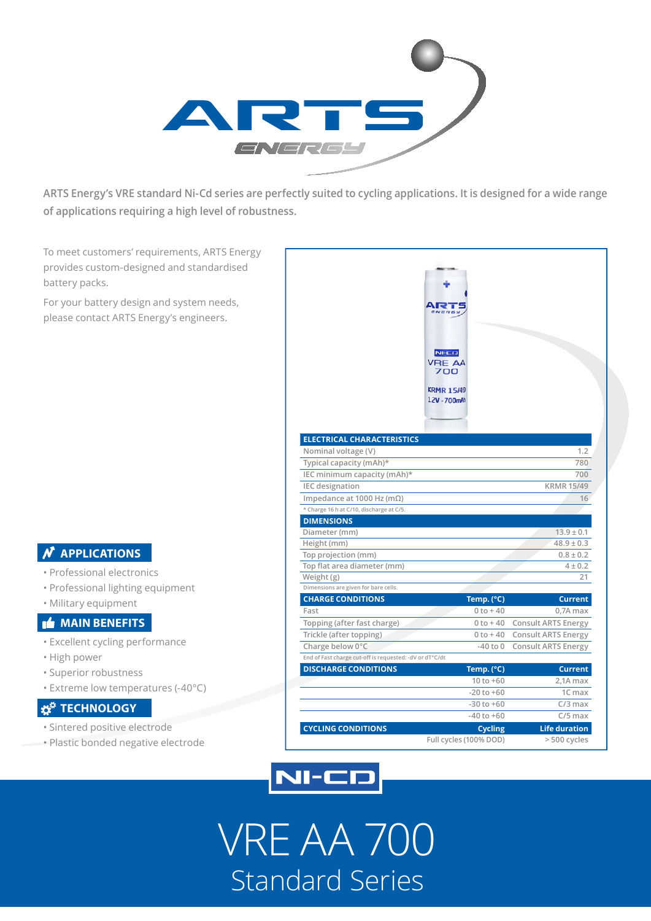

**ARTS Energy's VRE standard Ni-Cd series are perfectly suited to cycling applications. It is designed for a wide range of applications requiring a high level of robustness.**

To meet customers' requirements, ARTS Energy provides custom-designed and standardised battery packs.

For your battery design and system needs, please contact ARTS Energy's engineers.

### **APPLICATIONS**

- Professional electronics
- Professional lighting equipment
- Military equipment

#### **MAIN BENEFITS**

- Excellent cycling performance
- High power
- Superior robustness
- Extreme low temperatures (-40°C)

### **TECHNOLOGY**

- Sintered positive electrode
- Plastic bonded negative electrode

|                                                          | $NI-CD$<br><b>VRE AA</b><br>700<br><b>KRMR 15/49</b><br>1.2V - 700mAh |                            |
|----------------------------------------------------------|-----------------------------------------------------------------------|----------------------------|
| <b>ELECTRICAL CHARACTERISTICS</b>                        |                                                                       |                            |
| Nominal voltage (V)                                      |                                                                       | 1.2                        |
| Typical capacity (mAh)*                                  |                                                                       | 780                        |
| IEC minimum capacity (mAh)*                              |                                                                       | 700                        |
| <b>IEC</b> designation                                   |                                                                       | <b>KRMR 15/49</b>          |
| Impedance at 1000 Hz (m $\Omega$ )                       |                                                                       | 16                         |
| * Charge 16 h at C/10, discharge at C/5.                 |                                                                       |                            |
| <b>DIMENSIONS</b>                                        |                                                                       |                            |
| Diameter (mm)                                            |                                                                       | $13.9 \pm 0.1$             |
| Height (mm)                                              |                                                                       | $48.9 \pm 0.3$             |
| Top projection (mm)                                      |                                                                       | $0.8 \pm 0.2$              |
| Top flat area diameter (mm)                              |                                                                       | $4 \pm 0.2$                |
| Weight (g)<br>Dimensions are given for bare cells.       |                                                                       | 21                         |
| <b>CHARGE CONDITIONS</b>                                 | Temp. (°C)                                                            | <b>Current</b>             |
| Fast                                                     | $0 to + 40$                                                           | 0,7A max                   |
| Topping (after fast charge)                              | $0$ to $+40$                                                          | <b>Consult ARTS Energy</b> |
| Trickle (after topping)                                  | $0$ to $+40$                                                          | <b>Consult ARTS Energy</b> |
| Charge below 0°C                                         | $-40$ to $0$                                                          | <b>Consult ARTS Energy</b> |
| End of Fast charge cut-off is requested: - dV or dT°C/dt |                                                                       |                            |
| <b>DISCHARGE CONDITIONS</b>                              | Temp. (°C)                                                            | <b>Current</b>             |
|                                                          | $10 to +60$                                                           | 2,1A max                   |
|                                                          | $-20$ to $+60$                                                        | 1C max                     |
|                                                          | $-30$ to $+60$                                                        | $C/3$ max                  |
|                                                          | $-40$ to $+60$                                                        | $C/5$ max                  |
| <b>CYCLING CONDITIONS</b>                                | <b>Cycling</b>                                                        | <b>Life duration</b>       |
|                                                          | Full cycles (100% DOD)                                                | > 500 cycles               |



VRE AA 700 Standard Series